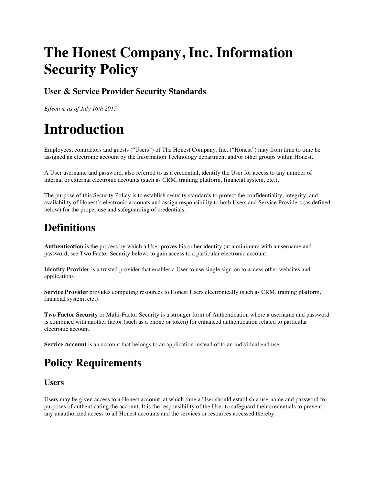# **The Honest Company, Inc. Information Security Policy**

### **User & Service Provider Security Standards**

*Effective as of July 16th 2015*

# **Introduction**

Employees, contractors and guests ("Users") of The Honest Company, Inc. ("Honest") may from time to time be assigned an electronic account by the Information Technology department and/or other groups within Honest.

A User username and password, also referred to as a credential, identify the User for access to any number of internal or external electronic accounts (such as CRM, training platform, financial system, etc.).

The purpose of this Security Policy is to establish security standards to protect the confidentiality, integrity, and availability of Honest's electronic accounts and assign responsibility to both Users and Service Providers (as defined below) for the proper use and safeguarding of credentials.

### **Definitions**

**Authentication** is the process by which a User proves his or her identity (at a minimum with a username and password; see Two Factor Security below) to gain access to a particular electronic account.

**Identity Provider** is a trusted provider that enables a User to use single sign-on to access other websites and applications.

**Service Provider** provides computing resources to Honest Users electronically (such as CRM, training platform, financial system, etc.).

**Two Factor Security** or Multi-Factor Security is a stronger form of Authentication where a username and password is combined with another factor (such as a phone or token) for enhanced authentication related to particular electronic account.

**Service Account** is an account that belongs to an application instead of to an individual end user.

### **Policy Requirements**

#### **Users**

Users may be given access to a Honest account, at which time a User should establish a username and password for purposes of authenticating the account. It is the responsibility of the User to safeguard their credentials to prevent any unauthorized access to all Honest accounts and the services or resources accessed thereby.